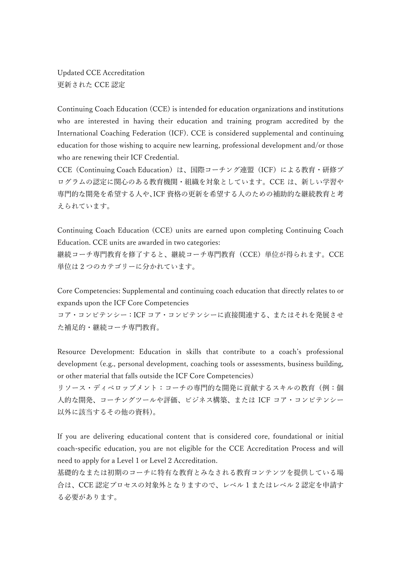Updated CCE Accreditation 更新された CCE 認定

Continuing Coach Education (CCE) is intended for education organizations and institutions who are interested in having their education and training program accredited by the International Coaching Federation (ICF). CCE is considered supplemental and continuing education for those wishing to acquire new learning, professional development and/or those who are renewing their ICF Credential.

CCE (Continuing Coach Education)は、国際コーチング連盟 (ICF)による教育・研修プ ログラムの認定に関心のある教育機関・組織を対象としています。CCE は、新しい学習や 専門的な開発を希望する人や、ICF 資格の更新を希望する人のための補助的な継続教育と考 えられています。

Continuing Coach Education (CCE) units are earned upon completing Continuing Coach Education. CCE units are awarded in two categories:

継続コーチ専門教育を修了すると、継続コーチ専門教育(CCE)単位が得られます。CCE 単位は 2 つのカテゴリーに分かれています。

Core Competencies: Supplemental and continuing coach education that directly relates to or expands upon the ICF Core Competencies

コア・コンピテンシー:ICF コア・コンピテンシーに直接関連する、またはそれを発展させ た補足的・継続コーチ専門教育。

Resource Development: Education in skills that contribute to a coach's professional development (e.g., personal development, coaching tools or assessments, business building, or other material that falls outside the ICF Core Competencies)

リソース・ディベロップメント:コーチの専門的な開発に貢献するスキルの教育(例:個 人的な開発、コーチングツールや評価、ビジネス構築、または ICF コア・コンピテンシー 以外に該当するその他の資料)。

If you are delivering educational content that is considered core, foundational or initial coach-specific education, you are not eligible for the CCE Accreditation Process and will need to apply for a Level 1 or Level 2 Accreditation.

基礎的なまたは初期のコーチに特有な教育とみなされる教育コンテンツを提供している場 合は、CCE 認定プロセスの対象外となりますので、レベル 1 またはレベル 2 認定を申請す る必要があります。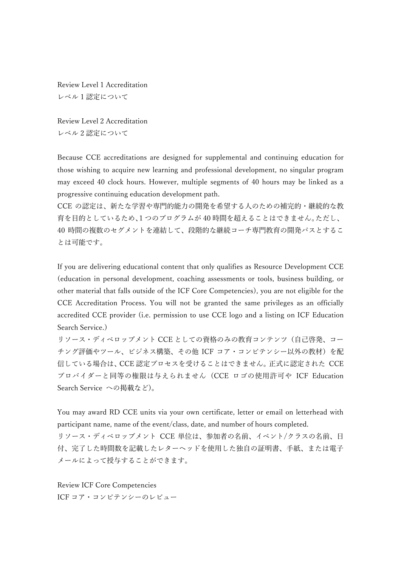Review Level 1 Accreditation レベル 1 認定について

Review Level 2 Accreditation レベル 2 認定について

Because CCE accreditations are designed for supplemental and continuing education for those wishing to acquire new learning and professional development, no singular program may exceed 40 clock hours. However, multiple segments of 40 hours may be linked as a progressive continuing education development path.

CCE の認定は、新たな学習や専門的能力の開発を希望する人のための補完的・継続的な教 育を目的としているため、1 つのプログラムが 40 時間を超えることはできません。ただし、 40 時間の複数のセグメントを連結して、段階的な継続コーチ専門教育の開発パスとするこ とは可能です。

If you are delivering educational content that only qualifies as Resource Development CCE (education in personal development, coaching assessments or tools, business building, or other material that falls outside of the ICF Core Competencies), you are not eligible for the CCE Accreditation Process. You will not be granted the same privileges as an officially accredited CCE provider (i.e. permission to use CCE logo and a listing on ICF Education Search Service.)

リソース・ディベロップメント CCE としての資格のみの教育コンテンツ(自己啓発、コー チング評価やツール、ビジネス構築、その他 ICF コア・コンピテンシー以外の教材)を配 信している場合は、CCE 認定プロセスを受けることはできません。正式に認定された CCE プロバイダーと同等の権限は与えられません (CCE ロゴの使用許可や ICF Education Search Service への掲載など)。

You may award RD CCE units via your own certificate, letter or email on letterhead with participant name, name of the event/class, date, and number of hours completed.

リソース・ディベロップメント CCE 単位は、参加者の名前、イベント/クラスの名前、日 付、完了した時間数を記載したレターヘッドを使用した独自の証明書、手紙、または電子 メールによって授与することができます。

Review ICF Core Competencies

ICF コア・コンピテンシーのレビュー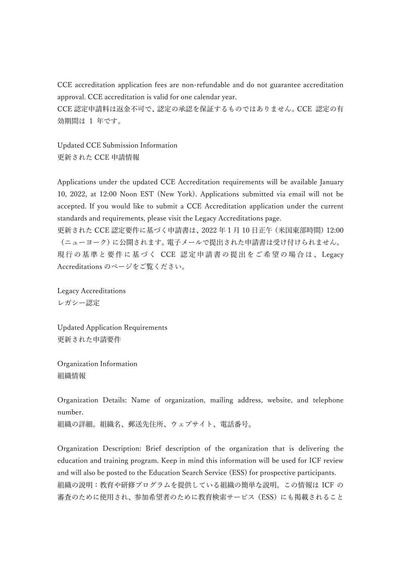CCE accreditation application fees are non-refundable and do not guarantee accreditation approval. CCE accreditation is valid for one calendar year.

CCE 認定申請料は返金不可で、認定の承認を保証するものではありません。CCE 認定の有 効期間は 1 年です。

Updated CCE Submission Information 更新された CCE 申請情報

Applications under the updated CCE Accreditation requirements will be available January 10, 2022, at 12:00 Noon EST (New York). Applications submitted via email will not be accepted. If you would like to submit a CCE Accreditation application under the current standards and requirements, please visit the Legacy Accreditations page.

更新された CCE 認定要件に基づく申請書は、2022 年 1 月 10 日正午(米国東部時間)12:00 (ニューヨーク)に公開されます。電子メールで提出された申請書は受け付けられません。 現行の基準と要件に基づく CCE 認定申請書の提出をご希 望の場合は、 Legacy Accreditations のページをご覧ください。

Legacy Accreditations レガシー認定

Updated Application Requirements 更新された申請要件

Organization Information 組織情報

Organization Details: Name of organization, mailing address, website, and telephone number.

組織の詳細。組織名、郵送先住所、ウェブサイト、電話番号。

Organization Description: Brief description of the organization that is delivering the education and training program. Keep in mind this information will be used for ICF review and will also be posted to the Education Search Service (ESS) for prospective participants. 組織の説明:教育や研修プログラムを提供している組織の簡単な説明。この情報は ICF の 審査のために使用され、参加希望者のために教育検索サービス(ESS)にも掲載されること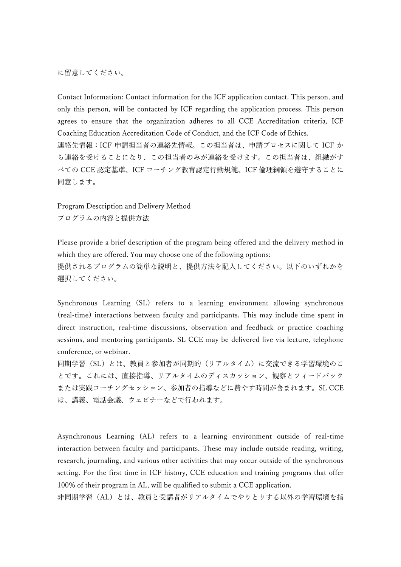に留意してください。

Contact Information: Contact information for the ICF application contact. This person, and only this person, will be contacted by ICF regarding the application process. This person agrees to ensure that the organization adheres to all CCE Accreditation criteria, ICF Coaching Education Accreditation Code of Conduct, and the ICF Code of Ethics. 連絡先情報:ICF 申請担当者の連絡先情報。この担当者は、申請プロセスに関して ICF か ら連絡を受けることになり、この担当者のみが連絡を受けます。この担当者は、組織がす べての CCE 認定基準、ICF コーチング教育認定行動規範、ICF 倫理綱領を遵守することに 同意します。

Program Description and Delivery Method プログラムの内容と提供方法

Please provide a brief description of the program being offered and the delivery method in which they are offered. You may choose one of the following options: 提供されるプログラムの簡単な説明と、提供方法を記入してください。以下のいずれかを 選択してください。

Synchronous Learning (SL) refers to a learning environment allowing synchronous (real-time) interactions between faculty and participants. This may include time spent in direct instruction, real-time discussions, observation and feedback or practice coaching sessions, and mentoring participants. SL CCE may be delivered live via lecture, telephone conference, or webinar.

同期学習(SL)とは、教員と参加者が同期的(リアルタイム)に交流できる学習環境のこ とです。これには、直接指導、リアルタイムのディスカッション、観察とフィードバック または実践コーチングセッション、参加者の指導などに費やす時間が含まれます。SL CCE は、講義、電話会議、ウェビナーなどで行われます。

Asynchronous Learning (AL) refers to a learning environment outside of real-time interaction between faculty and participants. These may include outside reading, writing, research, journaling, and various other activities that may occur outside of the synchronous setting. For the first time in ICF history, CCE education and training programs that offer 100% of their program in AL, will be qualified to submit a CCE application.

非同期学習(AL)とは、教員と受講者がリアルタイムでやりとりする以外の学習環境を指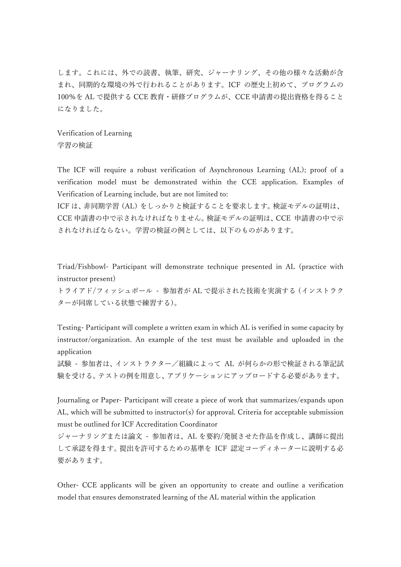します。これには、外での読書、執筆、研究、ジャーナリング、その他の様々な活動が含 まれ、同期的な環境の外で行われることがあります。ICF の歴史上初めて、プログラムの 100%を AL で提供する CCE 教育・研修プログラムが、CCE 申請書の提出資格を得ること になりました。

Verification of Learning 学習の検証

The ICF will require a robust verification of Asynchronous Learning (AL); proof of a verification model must be demonstrated within the CCE application. Examples of Verification of Learning include, but are not limited to:

ICF は、非同期学習 (AL) をしっかりと検証することを要求します。検証モデルの証明は、 CCE 申請書の中で示されなければなりません。検証モデルの証明は、CCE 申請書の中で示 されなければならない。学習の検証の例としては、以下のものがあります。

Triad/Fishbowl- Participant will demonstrate technique presented in AL (practice with instructor present)

トライアド/フィッシュボール - 参加者が AL で提示された技術を実演する(インストラク ターが同席している状態で練習する)。

Testing- Participant will complete a written exam in which AL is verified in some capacity by instructor/organization. An example of the test must be available and uploaded in the application

試験 - 参加者は、インストラクター/組織によって AL が何らかの形で検証される筆記試 験を受ける。テストの例を用意し、アプリケーションにアップロードする必要があります。

Journaling or Paper- Participant will create a piece of work that summarizes/expands upon AL, which will be submitted to instructor(s) for approval. Criteria for acceptable submission must be outlined for ICF Accreditation Coordinator

ジャーナリングまたは論文 - 参加者は、AL を要約/発展させた作品を作成し、講師に提出 して承認を得ます。提出を許可するための基準を ICF 認定コーディネーターに説明する必 要があります。

Other- CCE applicants will be given an opportunity to create and outline a verification model that ensures demonstrated learning of the AL material within the application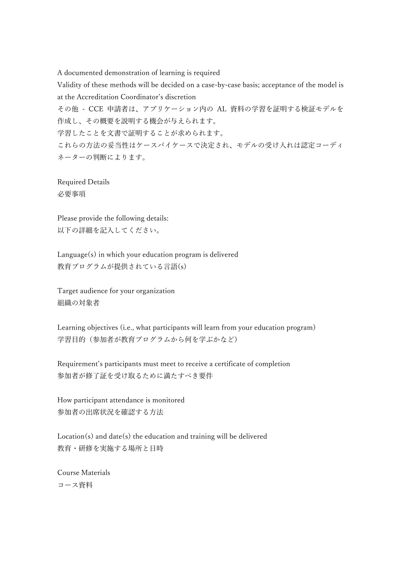A documented demonstration of learning is required Validity of these methods will be decided on a case-by-case basis; acceptance of the model is at the Accreditation Coordinator's discretion その他 - CCE 申請者は、アプリケーション内の AL 資料の学習を証明する検証モデルを 作成し、その概要を説明する機会が与えられます。 学習したことを文書で証明することが求められます。 これらの方法の妥当性はケースバイケースで決定され、モデルの受け入れは認定コーディ ネーターの判断によります。

Required Details 必要事項

Please provide the following details: 以下の詳細を記入してください。

Language(s) in which your education program is delivered 教育プログラムが提供されている言語(s)

Target audience for your organization 組織の対象者

Learning objectives (i.e., what participants will learn from your education program) 学習目的(参加者が教育プログラムから何を学ぶかなど)

Requirement's participants must meet to receive a certificate of completion 参加者が修了証を受け取るために満たすべき要件

How participant attendance is monitored 参加者の出席状況を確認する方法

Location(s) and date(s) the education and training will be delivered 教育・研修を実施する場所と日時

Course Materials コース資料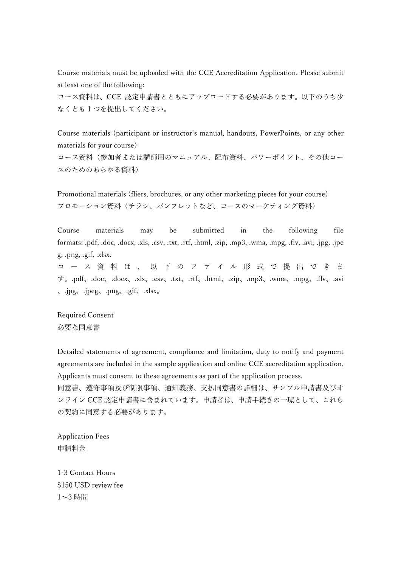Course materials must be uploaded with the CCE Accreditation Application. Please submit at least one of the following:

コース資料は、CCE 認定申請書とともにアップロードする必要があります。以下のうち少 なくとも 1 つを提出してください。

Course materials (participant or instructor's manual, handouts, PowerPoints, or any other materials for your course)

コース資料(参加者または講師用のマニュアル、配布資料、パワーポイント、その他コー スのためのあらゆる資料)

Promotional materials (fliers, brochures, or any other marketing pieces for your course) プロモーション資料(チラシ、パンフレットなど、コースのマーケティング資料)

Course materials may be submitted in the following file formats: .pdf, .doc, .docx, .xls, .csv, .txt, .rtf, .html, .zip, .mp3, .wma, .mpg, .flv, .avi, .jpg, .jpe g, .png, .gif, .xlsx.

コ ー ス 資 料 は 、 以 下 の フ ァ イ ル 形 式 で 提 出 で き ま す。.pdf、.doc、.docx、.xls、.csv、.txt、.rtf、.html、.zip、.mp3、.wma、.mpg、.flv、.avi 、.jpg、.jpeg、.png、.gif、.xlsx。

Required Consent 必要な同意書

Detailed statements of agreement, compliance and limitation, duty to notify and payment agreements are included in the sample application and online CCE accreditation application. Applicants must consent to these agreements as part of the application process.

同意書、遵守事項及び制限事項、通知義務、支払同意書の詳細は、サンプル申請書及びオ ンライン CCE 認定申請書に含まれています。申請者は、申請手続きの一環として、これら の契約に同意する必要があります。

Application Fees 申請料金

1-3 Contact Hours \$150 USD review fee 1~3 時間